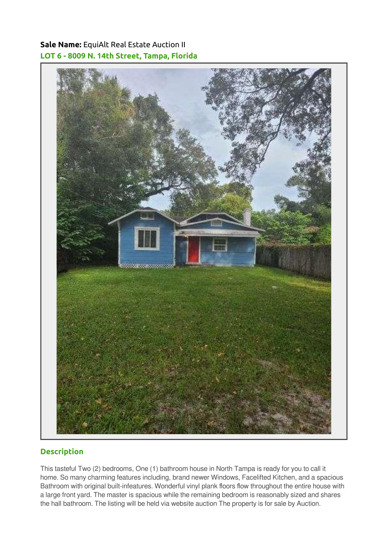## Sale Name: EquiAlt Real Estate Auction II LOT 6 - 8009 N. 14th Street, Tampa, Florida



## **Description**

This tasteful Two (2) bedrooms, One (1) bathroom house in North Tampa is ready for you to call it home. So many charming features including, brand newer Windows, Facelifted Kitchen, and a spacious Bathroom with original built-infeatures. Wonderful vinyl plank floors flow throughout the entire house with a large front yard. The master is spacious while the remaining bedroom is reasonably sized and shares the hall bathroom. The listing will be held via website auction The property is for sale by Auction.